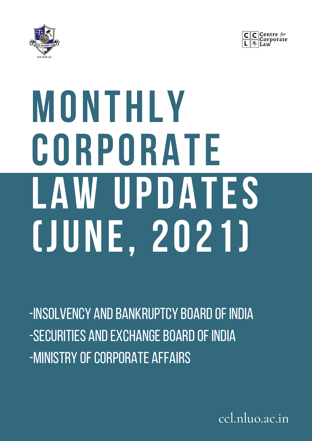



# **MONTHLY CORPORATE LAW UPDATES (JUNE, 2021)**

-INSOLVENCY AND BANKRUPTCY BOARD OF INDIA -SECURITIES AND EXCHANGE BOARD OF INDIA -MINISTRY OF CORPORATE AFFAIRS

ccl.nluo.ac.in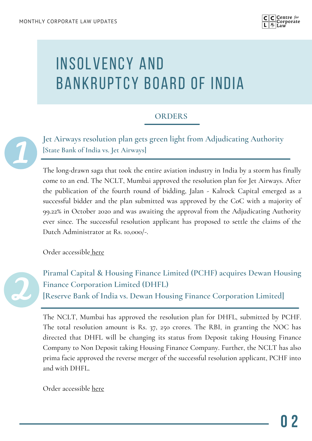

### INSOLVENCY AND BANKRUPTCY BOARD OF INDIA

#### **ORDERS**

**Jet Airways resolution plan gets green light from Adjudicating Authority [State Bank of India vs. Jet Airways]**

The long-drawn saga that took the entire aviation industry in India by a storm has finally come to an end. The NCLT, Mumbai approved the resolution plan for Jet Airways. After the publication of the fourth round of bidding, Jalan - Kalrock Capital emerged as a successful bidder and the plan submitted was approved by the CoC with a majority of 99.22% in October 2020 and was awaiting the approval from the Adjudicating Authority ever since. The successful resolution applicant has proposed to settle the claims of the Dutch Administrator at Rs. 10,000/-.

Order accessible [here](https://ibbi.gov.in/uploads/order/1f9303d5fed6f1d2514809fa5363deaa.pdf)



**Piramal Capital & Housing Finance Limited (PCHF) acquires Dewan Housing Finance Corporation Limited (DHFL) [Reserve Bank of India vs. Dewan Housing Finance Corporation Limited]**

The NCLT, Mumbai has approved the resolution plan for DHFL, submitted by PCHF. The total resolution amount is Rs. 37, 250 crores. The RBI, in granting the NOC has directed that DHFL will be changing its status from Deposit taking Housing Finance Company to Non Deposit taking Housing Finance Company. Further, the NCLT has also prima facie approved the reverse merger of the successful resolution applicant, PCHF into and with DHFL.

Order accessible [here](https://www.ibbi.gov.in/uploads/order/4dc4028ccc12768a83b5726399fc8698.pdf)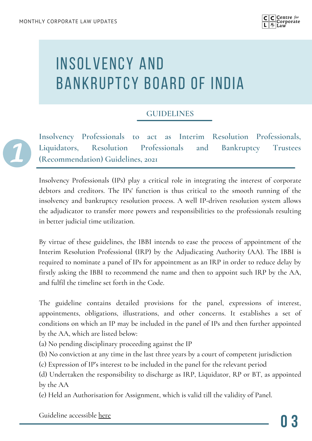

# INSOLVENCY AND BANKRUPTCY BOARD OF INDIA

#### **GUIDELINES**

**Insolvency Professionals to act as Interim Resolution Professionals, Liquidators, Resolution Professionals and Bankruptcy Trustees (Recommendation) Guidelines, 2021**

Insolvency Professionals (IPs) play a critical role in integrating the interest of corporate debtors and creditors. The IPs' function is thus critical to the smooth running of the insolvency and bankruptcy resolution process. A well IP-driven resolution system allows the adjudicator to transfer more powers and responsibilities to the professionals resulting in better judicial time utilization.

By virtue of these guidelines, the IBBI intends to ease the process of appointment of the Interim Resolution Professional (IRP) by the Adjudicating Authority (AA). The IBBI is required to nominate a panel of IPs for appointment as an IRP in order to reduce delay by firstly asking the IBBI to recommend the name and then to appoint such IRP by the AA, and fulfil the timeline set forth in the Code.

The guideline contains detailed provisions for the panel, expressions of interest, appointments, obligations, illustrations, and other concerns. It establishes a set of conditions on which an IP may be included in the panel of IPs and then further appointed by the AA, which are listed below:

(a) No pending disciplinary proceeding against the IP

(b) No conviction at any time in the last three years by a court of competent jurisdiction

(c) Expression of IP's interest to be included in the panel for the relevant period

(d) Undertaken the responsibility to discharge as IRP, Liquidator, RP or BT, as appointed by the AA

(e) Held an Authorisation for Assignment, which is valid till the validity of Panel.

Guideline accessible [here](https://ibbi.gov.in/uploads/legalframwork/57df52b9084e184d7dd15a6f4c3e314b.pdf)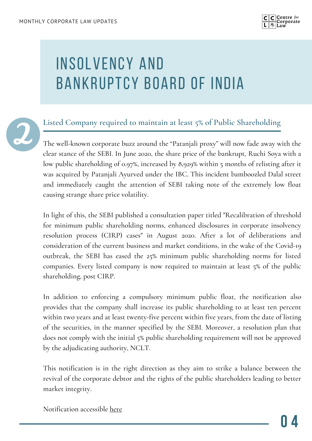

# INSOLVENCY AND BANKRUPTCY BOARD OF INDIA



#### **Listed Company required to maintain at least 5% of Public Shareholding**

The well-known corporate buzz around the "Patanjali proxy" will now fade away with the clear stance of the SEBI. In June 2020, the share price of the bankrupt, Ruchi Soya with a low public shareholding of 0.97%, increased by 8,929% within 5 months of relisting after it was acquired by Patanjali Ayurved under the IBC. This incident bamboozled Dalal street and immediately caught the attention of SEBI taking note of the extremely low float causing strange share price volatility.

In light of this, the SEBI published a consultation paper titled "Recalibration of threshold for minimum public shareholding norms, enhanced disclosures in corporate insolvency resolution process (CIRP) cases" in August 2020. After a lot of deliberations and consideration of the current business and market conditions, in the wake of the Covid-19 outbreak, the SEBI has eased the 25% minimum public shareholding norms for listed companies. Every listed company is now required to maintain at least 5% of the public shareholding, post CIRP.

In addition to enforcing a compulsory minimum public float, the notification also provides that the company shall increase its public shareholding to at least ten percent within two years and at least twenty-five percent within five years, from the date of listing of the securities, in the manner specified by the SEBI. Moreover, a resolution plan that does not comply with the initial 5% public shareholding requirement will not be approved by the adjudicating authority, NCLT.

This notification is in the right direction as they aim to strike a balance between the revival of the corporate debtor and the rights of the public shareholders leading to better market integrity.

Notification accessible [here](https://www.ibbi.gov.in/uploads/legalframwork/cfc752ae9fb5738a0b8e125a86c5f257.pdf)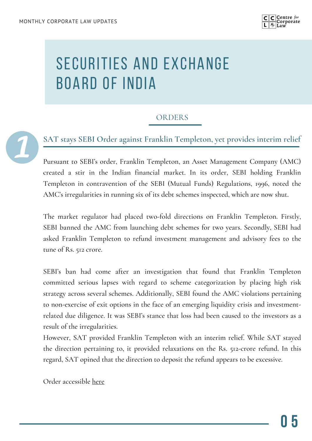

#### ORDERS



#### **SAT stays SEBI Order against Franklin Templeton, yet provides interim relief**

Pursuant to SEBI's order, Franklin Templeton, an Asset Management Company (AMC) created a stir in the Indian financial market. In its order, SEBI holding Franklin Templeton in contravention of the SEBI (Mutual Funds) Regulations, 1996, noted the AMC's irregularities in running six of its debt schemes inspected, which are now shut.

The market regulator had placed two-fold directions on Franklin Templeton. Firstly, SEBI banned the AMC from launching debt schemes for two years. Secondly, SEBI had asked Franklin Templeton to refund investment management and advisory fees to the tune of Rs. 512 crore.

SEBI's ban had come after an investigation that found that Franklin Templeton committed serious lapses with regard to scheme categorization by placing high risk strategy across several schemes. Additionally, SEBI found the AMC violations pertaining to non-exercise of exit options in the face of an emerging liquidity crisis and investmentrelated due diligence. It was SEBI's stance that loss had been caused to the investors as a result of the irregularities.

However, SAT provided Franklin Templeton with an interim relief. While SAT stayed the direction pertaining to, it provided relaxations on the Rs. 512-crore refund. In this regard, SAT opined that the direction to deposit the refund appears to be excessive.

Order accessible [here](http://sat.gov.in/english/pdf/E2021_JO2021443_2.PDF)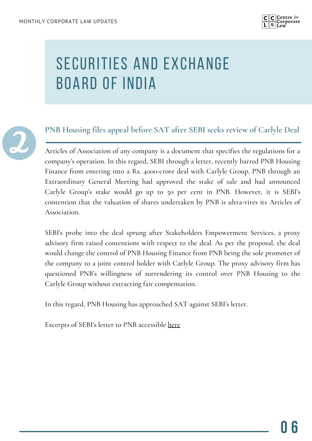



#### **PNB Housing files appeal before SAT after SEBI seeks review of Carlyle Deal**

Articles of Association of any company is a document that specifies the regulations for a company's operation. In this regard, SEBI through a letter, recently barred PNB Housing Finance from entering into a Rs. 4000-crore deal with Carlyle Group. PNB through an Extraordinary General Meeting had approved the stake of sale and had announced Carlyle Group's stake would go up to 50 per cent in PNB. However, it is SEBI's contention that the valuation of shares undertaken by PNB is ultra-vires its Articles of Association.

SEBI's probe into the deal sprung after Stakeholders Empowerment Services, a proxy advisory firm raised contentions with respect to the deal. As per the proposal, the deal would change the control of PNB Housing Finance from PNB being the sole promoter of the company to a joint control holder with Carlyle Group. The proxy advisory firm has questioned PNB's willingness of surrendering its control over PNB Housing to the Carlyle Group without extracting fair compensation.

In this regard, PNB Housing has approached SAT against SEBI's letter.

Excerpts of SEBI's letter to PNB accessible <u>[here](https://www.pnbhousing.com/wp-content/uploads/2021/06/Disclosure-of-SEBI-communication.pdf)</u>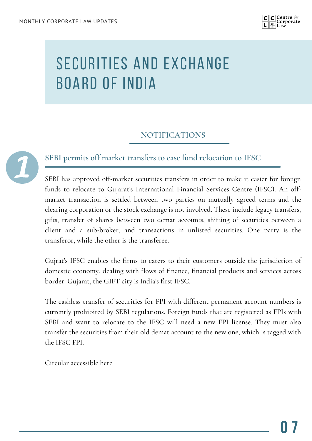

#### **NOTIFICATIONS**



#### **SEBI permits off market transfers to ease fund relocation to IFSC**

SEBI has approved off-market securities transfers in order to make it easier for foreign funds to relocate to Gujarat's International Financial Services Centre (IFSC). An offmarket transaction is settled between two parties on mutually agreed terms and the clearing corporation or the stock exchange is not involved. These include legacy transfers, gifts, transfer of shares between two demat accounts, shifting of securities between a client and a sub-broker, and transactions in unlisted securities. One party is the transferor, while the other is the transferee.

Gujrat's IFSC enables the firms to caters to their customers outside the jurisdiction of domestic economy, dealing with flows of finance, financial products and services across border. Gujarat, the GIFT city is India's first IFSC.

The cashless transfer of securities for FPI with different permanent account numbers is currently prohibited by SEBI regulations. Foreign funds that are registered as FPIs with SEBI and want to relocate to the IFSC will need a new FPI license. They must also transfer the securities from their old demat account to the new one, which is tagged with the IFSC FPI.

Circular accessible [here](https://www.sebi.gov.in/legal/circulars/jun-2021/-off-market-transfer-of-securities-by-fpi_50380.html)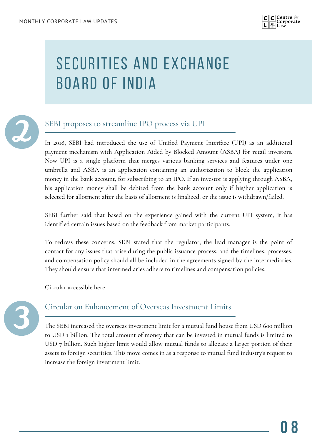



#### SEBI proposes to streamline IPO process via UPI

In 2018, SEBI had introduced the use of Unified Payment Interface (UPI) as an additional payment mechanism with Application Aided by Blocked Amount (ASBA) for retail investors. Now UPI is a single platform that merges various banking services and features under one umbrella and ASBA is an application containing an authorization to block the application money in the bank account, for subscribing to an IPO. If an investor is applying through ASBA, his application money shall be debited from the bank account only if his/her application is selected for allotment after the basis of allotment is finalized, or the issue is withdrawn/failed.

SEBI further said that based on the experience gained with the current UPI system, it has identified certain issues based on the feedback from market participants.

To redress these concerns, SEBI stated that the regulator, the lead manager is the point of contact for any issues that arise during the public issuance process, and the timelines, processes, and compensation policy should all be included in the agreements signed by the intermediaries. They should ensure that intermediaries adhere to timelines and compensation policies.

Circular accessible [here](https://www.sebi.gov.in/legal/circulars/jun-2021/streamlining-the-process-of-ipos-with-upi-in-asba-and-redressal-of-investors-grievances_50401.html)



#### Circular on Enhancement of Overseas Investment Limits

The SEBI increased the overseas investment limit for a mutual fund house from USD 600 million to USD 1 billion. The total amount of money that can be invested in mutual funds is limited to USD 7 billion. Such higher limit would allow mutual funds to allocate a larger portion of their assets to foreign securities. This move comes in as a response to mutual fund industry's request to increase the foreign investment limit.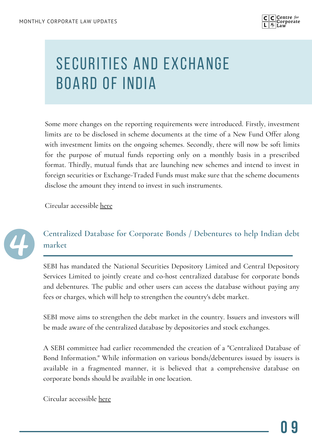

Some more changes on the reporting requirements were introduced. Firstly, investment limits are to be disclosed in scheme documents at the time of a New Fund Offer along with investment limits on the ongoing schemes. Secondly, there will now be soft limits for the purpose of mutual funds reporting only on a monthly basis in a prescribed format. Thirdly, mutual funds that are launching new schemes and intend to invest in foreign securities or Exchange-Traded Funds must make sure that the scheme documents disclose the amount they intend to invest in such instruments.

Circular accessible [here](https://www.sebi.gov.in/legal/circulars/jun-2021/circular-on-enhancement-of-overseas-investment-limits_50415.html)



#### **Centralized Database for Corporate Bonds / Debentures to help Indian debt market**

SEBI has mandated the National Securities Depository Limited and Central Depository Services Limited to jointly create and co-host centralized database for corporate bonds and debentures. The public and other users can access the database without paying any fees or charges, which will help to strengthen the country's debt market.

SEBI move aims to strengthen the debt market in the country. Issuers and investors will be made aware of the centralized database by depositories and stock exchanges.

A SEBI committee had earlier recommended the creation of a "Centralized Database of Bond Information." While information on various bonds/debentures issued by issuers is available in a fragmented manner, it is believed that a comprehensive database on corporate bonds should be available in one location.

Circular accessible [here](https://www.sebi.gov.in/legal/circulars/jun-2021/centralized-database-for-corporate-bonds-debentures_50421.html)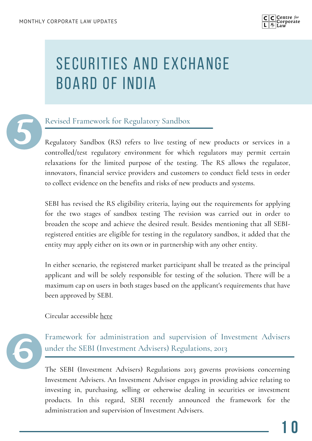



#### Revised Framework for Regulatory Sandbox

Regulatory Sandbox (RS) refers to live testing of new products or services in a controlled/test regulatory environment for which regulators may permit certain relaxations for the limited purpose of the testing. The RS allows the regulator, innovators, financial service providers and customers to conduct field tests in order to collect evidence on the benefits and risks of new products and systems.

SEBI has revised the RS eligibility criteria, laying out the requirements for applying for the two stages of sandbox testing The revision was carried out in order to broaden the scope and achieve the desired result. Besides mentioning that all SEBIregistered entities are eligible for testing in the regulatory sandbox, it added that the entity may apply either on its own or in partnership with any other entity.

In either scenario, the registered market participant shall be treated as the principal applicant and will be solely responsible for testing of the solution. There will be a maximum cap on users in both stages based on the applicant's requirements that have been approved by SEBI.

Circular accessible [here](https://www.sebi.gov.in/legal/circulars/jun-2021/revised-framework-for-regulatory-sandbox_50521.html)



Framework for administration and supervision of Investment Advisers under the SEBI (Investment Advisers) Regulations, 2013

The SEBI (Investment Advisers) Regulations 2013 governs provisions concerning Investment Advisers. An Investment Advisor engages in providing advice relating to investing in, purchasing, selling or otherwise dealing in securities or investment products. In this regard, SEBI recently announced the framework for the administration and supervision of Investment Advisers.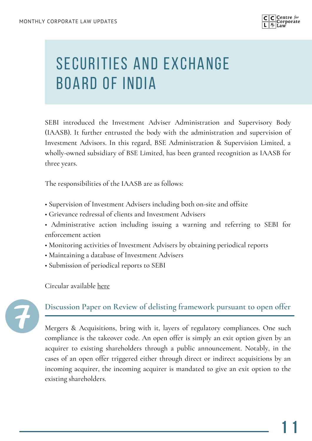

SEBI introduced the Investment Adviser Administration and Supervisory Body (IAASB). It further entrusted the body with the administration and supervision of Investment Advisors. In this regard, BSE Administration & Supervision Limited, a wholly-owned subsidiary of BSE Limited, has been granted recognition as IAASB for three years.

The responsibilities of the IAASB are as follows:

- Supervision of Investment Advisers including both on-site and offsite
- Grievance redressal of clients and Investment Advisers
- Administrative action including issuing a warning and referring to SEBI for enforcement action
- Monitoring activities of Investment Advisers by obtaining periodical reports
- Maintaining a database of Investment Advisers
- Submission of periodical reports to SEBI

Circular available [here](https://www.sebi.gov.in/legal/circulars/jun-2021/framework-for-administration-and-supervision-of-investment-advisers-under-the-sebi-investment-advisers-regulations-2013_50605.html)



**Discussion Paper on Review of delisting framework pursuant to open offer**

Mergers & Acquisitions, bring with it, layers of regulatory compliances. One such compliance is the takeover code. An open offer is simply an exit option given by an acquirer to existing shareholders through a public announcement. Notably, in the cases of an open offer triggered either through direct or indirect acquisitions by an incoming acquirer, the incoming acquirer is mandated to give an exit option to the existing shareholders.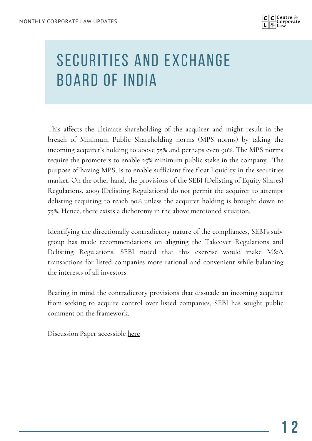

This affects the ultimate shareholding of the acquirer and might result in the breach of Minimum Public Shareholding norms (MPS norms) by taking the incoming acquirer's holding to above 75% and perhaps even 90%. The MPS norms require the promoters to enable 25% minimum public stake in the company. The purpose of having MPS, is to enable sufficient free float liquidity in the securities market. On the other hand, the provisions of the SEBI (Delisting of Equity Shares) Regulations, 2009 (Delisting Regulations) do not permit the acquirer to attempt delisting requiring to reach 90% unless the acquirer holding is brought down to 75%. Hence, there exists a dichotomy in the above mentioned situation.

Identifying the directionally contradictory nature of the compliances, SEBI's subgroup has made recommendations on aligning the Takeover Regulations and Delisting Regulations. SEBI noted that this exercise would make M&A transactions for listed companies more rational and convenient while balancing the interests of all investors.

Bearing in mind the contradictory provisions that dissuade an incoming acquirer from seeking to acquire control over listed companies, SEBI has sought public comment on the framework.

Discussion Paper accessible [here](https://www.sebi.gov.in/reports-and-statistics/reports/jun-2021/discussion-paper-on-review-of-delisting-framework-pursuant-to-open-offer_50688.html)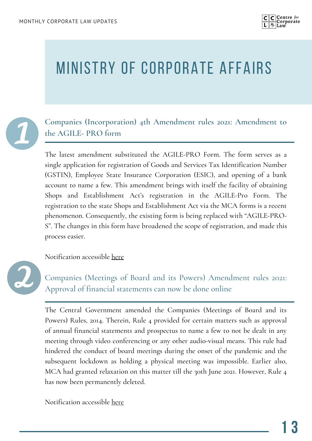

### MINISTRY OF CORPORATE AFFAIRS



**Companies (Incorporation) 4th Amendment rules 2021: Amendment to the AGILE- PRO form**

The latest amendment substituted the AGILE-PRO Form. The form serves as a single application for registration of Goods and Services Tax Identification Number (GSTIN), Employee State Insurance Corporation (ESIC), and opening of a bank account to name a few. This amendment brings with itself the facility of obtaining Shops and Establishment Act's registration in the AGILE-Pro Form. The registration to the state Shops and Establishment Act via the MCA forms is a recent phenomenon. Consequently, the existing form is being replaced with "AGILE-PRO-S". The changes in this form have broadened the scope of registration, and made this process easier.

Notification accessible [here](https://www.mca.gov.in/bin/dms/getdocument?mds=sbRk0d1avtQVQZrw%252BKS2GA%253D%253D&type=open)



Companies (Meetings of Board and its Powers) Amendment rules 2021: Approval of financial statements can now be done online

The Central Government amended the Companies (Meetings of Board and its Powers) Rules, 2014. Therein, Rule 4 provided for certain matters such as approval of annual financial statements and prospectus to name a few to not be dealt in any meeting through video conferencing or any other audio-visual means. This rule had hindered the conduct of board meetings during the onset of the pandemic and the subsequent lockdown as holding a physical meeting was impossible. Earlier also, MCA had granted relaxation on this matter till the 30th June 2021. However, Rule 4 has now been permanently deleted.

Notification accessible [here](https://www.mca.gov.in/bin/dms/getdocument?mds=zwpAcIfQhKOgB8vwf%252FztbA%253D%253D&type=open)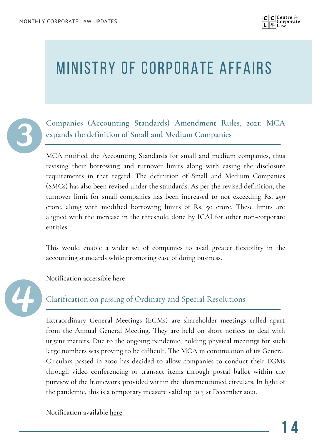

### MINISTRY OF CORPORATE AFFAIRS



**Companies (Accounting Standards) Amendment Rules, 2021: MCA expands the definition of Small and Medium Companies**

MCA notified the Accounting Standards for small and medium companies, thus revising their borrowing and turnover limits along with easing the disclosure requirements in that regard. The definition of Small and Medium Companies (SMCs) has also been revised under the standards. As per the revised definition, the turnover limit for small companies has been increased to not exceeding Rs. 250 crore. along with modified borrowing limits of Rs. 50 crore. These limits are aligned with the increase in the threshold done by ICAI for other non-corporate entities.

This would enable a wider set of companies to avail greater flexibility in the accounting standards while promoting ease of doing business.

Notification accessible [here](https://www.mca.gov.in/bin/dms/getdocument?mds=RKk43Bmg99ksfV0bUGr6XA%253D%253D&type=open)

Clarification on passing of Ordinary and Special Resolutions

Extraordinary General Meetings (EGMs) are shareholder meetings called apart from the Annual General Meeting. They are held on short notices to deal with urgent matters. Due to the ongoing pandemic, holding physical meetings for such large numbers was proving to be difficult. The MCA in continuation of its General Circulars passed in 2020 has decided to allow companies to conduct their EGMs through video conferencing or transact items through postal ballot within the purview of the framework provided within the aforementioned circulars. In light of the pandemic, this is a temporary measure valid up to 31st December 2021.

Notification available [here](https://www.mca.gov.in/bin/dms/getdocument?mds=fYGpVQRhK8ssM3lRSs7fsg%253D%253D&type=open)